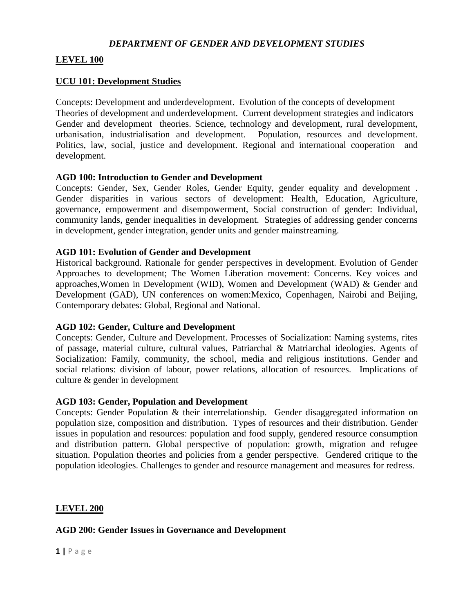### *DEPARTMENT OF GENDER AND DEVELOPMENT STUDIES*

### **LEVEL 100**

#### **UCU 101: Development Studies**

Concepts: Development and underdevelopment. Evolution of the concepts of development Theories of development and underdevelopment. Current development strategies and indicators Gender and development theories. Science, technology and development, rural development, urbanisation, industrialisation and development. Population, resources and development. Politics, law, social, justice and development. Regional and international cooperation and development.

#### **AGD 100: Introduction to Gender and Development**

Concepts: Gender, Sex, Gender Roles, Gender Equity, gender equality and development . Gender disparities in various sectors of development: Health, Education, Agriculture, governance, empowerment and disempowerment, Social construction of gender: Individual, community lands, gender inequalities in development. Strategies of addressing gender concerns in development, gender integration, gender units and gender mainstreaming.

#### **AGD 101: Evolution of Gender and Development**

Historical background. Rationale for gender perspectives in development. Evolution of Gender Approaches to development; The Women Liberation movement: Concerns. Key voices and approaches,Women in Development (WID), Women and Development (WAD) & Gender and Development (GAD), UN conferences on women:Mexico, Copenhagen, Nairobi and Beijing, Contemporary debates: Global, Regional and National.

### **AGD 102: Gender, Culture and Development**

Concepts: Gender, Culture and Development. Processes of Socialization: Naming systems, rites of passage, material culture, cultural values, Patriarchal & Matriarchal ideologies. Agents of Socialization: Family, community, the school, media and religious institutions. Gender and social relations: division of labour, power relations, allocation of resources. Implications of culture & gender in development

### **AGD 103: Gender, Population and Development**

Concepts: Gender Population & their interrelationship. Gender disaggregated information on population size, composition and distribution. Types of resources and their distribution. Gender issues in population and resources: population and food supply, gendered resource consumption and distribution pattern. Global perspective of population: growth, migration and refugee situation. Population theories and policies from a gender perspective. Gendered critique to the population ideologies. Challenges to gender and resource management and measures for redress.

### **LEVEL 200**

### **AGD 200: Gender Issues in Governance and Development**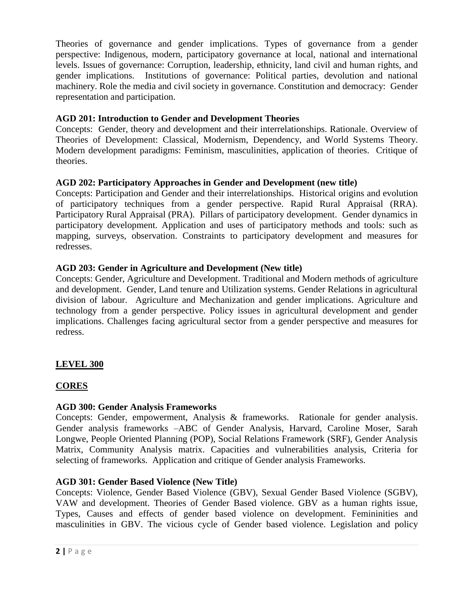Theories of governance and gender implications. Types of governance from a gender perspective: Indigenous, modern, participatory governance at local, national and international levels. Issues of governance: Corruption, leadership, ethnicity, land civil and human rights, and gender implications. Institutions of governance: Political parties, devolution and national machinery. Role the media and civil society in governance. Constitution and democracy: Gender representation and participation.

# **AGD 201: Introduction to Gender and Development Theories**

Concepts: Gender, theory and development and their interrelationships. Rationale. Overview of Theories of Development: Classical, Modernism, Dependency, and World Systems Theory. Modern development paradigms: Feminism, masculinities, application of theories. Critique of theories.

# **AGD 202: Participatory Approaches in Gender and Development (new title)**

Concepts: Participation and Gender and their interrelationships. Historical origins and evolution of participatory techniques from a gender perspective. Rapid Rural Appraisal (RRA). Participatory Rural Appraisal (PRA). Pillars of participatory development. Gender dynamics in participatory development. Application and uses of participatory methods and tools: such as mapping, surveys, observation. Constraints to participatory development and measures for redresses.

# **AGD 203: Gender in Agriculture and Development (New title)**

Concepts: Gender, Agriculture and Development. Traditional and Modern methods of agriculture and development. Gender, Land tenure and Utilization systems. Gender Relations in agricultural division of labour. Agriculture and Mechanization and gender implications. Agriculture and technology from a gender perspective. Policy issues in agricultural development and gender implications. Challenges facing agricultural sector from a gender perspective and measures for redress.

# **LEVEL 300**

# **CORES**

## **AGD 300: Gender Analysis Frameworks**

Concepts: Gender, empowerment, Analysis & frameworks. Rationale for gender analysis. Gender analysis frameworks –ABC of Gender Analysis, Harvard, Caroline Moser, Sarah Longwe, People Oriented Planning (POP), Social Relations Framework (SRF), Gender Analysis Matrix, Community Analysis matrix. Capacities and vulnerabilities analysis, Criteria for selecting of frameworks. Application and critique of Gender analysis Frameworks.

## **AGD 301: Gender Based Violence (New Title)**

Concepts: Violence, Gender Based Violence (GBV), Sexual Gender Based Violence (SGBV), VAW and development. Theories of Gender Based violence. GBV as a human rights issue, Types, Causes and effects of gender based violence on development. Femininities and masculinities in GBV. The vicious cycle of Gender based violence. Legislation and policy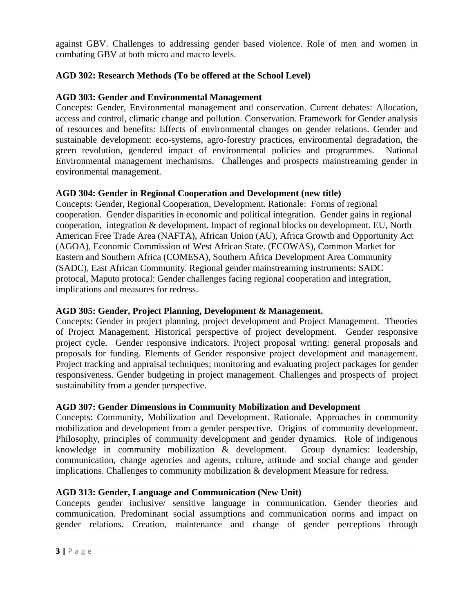against GBV. Challenges to addressing gender based violence. Role of men and women in combating GBV at both micro and macro levels.

# **AGD 302: Research Methods (To be offered at the School Level)**

## **AGD 303: Gender and Environmental Management**

Concepts: Gender, Environmental management and conservation. Current debates: Allocation, access and control, climatic change and pollution. Conservation. Framework for Gender analysis of resources and benefits: Effects of environmental changes on gender relations. Gender and sustainable development: eco-systems, agro-forestry practices, environmental degradation, the green revolution, gendered impact of environmental policies and programmes. National Environmental management mechanisms. Challenges and prospects mainstreaming gender in environmental management.

### **AGD 304: Gender in Regional Cooperation and Development (new title)**

Concepts: Gender, Regional Cooperation, Development. Rationale: Forms of regional cooperation. Gender disparities in economic and political integration. Gender gains in regional cooperation, integration & development. Impact of regional blocks on development. EU, North American Free Trade Area (NAFTA), African Union (AU), Africa Growth and Opportunity Act (AGOA), Economic Commission of West African State. (ECOWAS), Common Market for Eastern and Southern Africa (COMESA), Southern Africa Development Area Community (SADC), East African Community. Regional gender mainstreaming instruments: SADC protocal, Maputo protocal: Gender challenges facing regional cooperation and integration, implications and measures for redress.

## **AGD 305: Gender, Project Planning, Development & Management.**

Concepts: Gender in project planning, project development and Project Management. Theories of Project Management. Historical perspective of project development. Gender responsive project cycle. Gender responsive indicators. Project proposal writing: general proposals and proposals for funding. Elements of Gender responsive project development and management. Project tracking and appraisal techniques; monitoring and evaluating project packages for gender responsiveness. Gender budgeting in project management. Challenges and prospects of project sustainability from a gender perspective.

### **AGD 307: Gender Dimensions in Community Mobilization and Development**

Concepts: Community, Mobilization and Development. Rationale. Approaches in community mobilization and development from a gender perspective. Origins of community development. Philosophy, principles of community development and gender dynamics. Role of indigenous knowledge in community mobilization & development. Group dynamics: leadership, communication, change agencies and agents, culture, attitude and social change and gender implications. Challenges to community mobilization & development Measure for redress.

### **AGD 313: Gender, Language and Communication (New Unit)**

Concepts gender inclusive/ sensitive language in communication. Gender theories and communication. Predominant social assumptions and communication norms and impact on gender relations. Creation, maintenance and change of gender perceptions through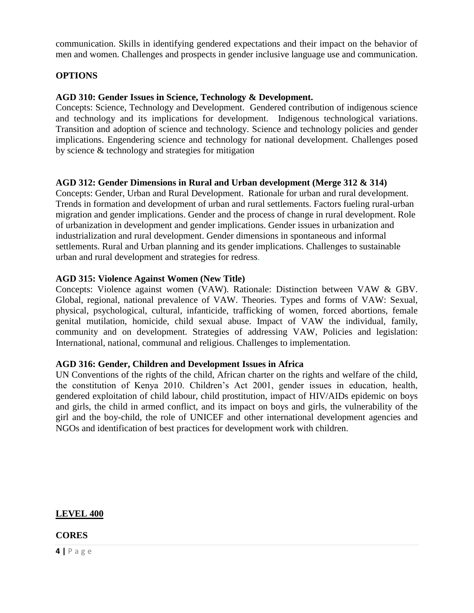communication. Skills in identifying gendered expectations and their impact on the behavior of men and women. Challenges and prospects in gender inclusive language use and communication.

### **OPTIONS**

### **AGD 310: Gender Issues in Science, Technology & Development.**

Concepts: Science, Technology and Development. Gendered contribution of indigenous science and technology and its implications for development. Indigenous technological variations. Transition and adoption of science and technology. Science and technology policies and gender implications. Engendering science and technology for national development. Challenges posed by science & technology and strategies for mitigation

### **AGD 312: Gender Dimensions in Rural and Urban development (Merge 312 & 314)**

Concepts: Gender, Urban and Rural Development. Rationale for urban and rural development. Trends in formation and development of urban and rural settlements. Factors fueling rural-urban migration and gender implications. Gender and the process of change in rural development. Role of urbanization in development and gender implications. Gender issues in urbanization and industrialization and rural development. Gender dimensions in spontaneous and informal settlements. Rural and Urban planning and its gender implications. Challenges to sustainable urban and rural development and strategies for redress.

### **AGD 315: Violence Against Women (New Title)**

Concepts: Violence against women (VAW). Rationale: Distinction between VAW & GBV. Global, regional, national prevalence of VAW. Theories. Types and forms of VAW: Sexual, physical, psychological, cultural, infanticide, trafficking of women, forced abortions, female genital mutilation, homicide, child sexual abuse. Impact of VAW the individual, family, community and on development. Strategies of addressing VAW, Policies and legislation: International, national, communal and religious. Challenges to implementation.

### **AGD 316: Gender, Children and Development Issues in Africa**

UN Conventions of the rights of the child, African charter on the rights and welfare of the child, the constitution of Kenya 2010. Children's Act 2001, gender issues in education, health, gendered exploitation of child labour, child prostitution, impact of HIV/AIDs epidemic on boys and girls, the child in armed conflict, and its impact on boys and girls, the vulnerability of the girl and the boy-child, the role of UNICEF and other international development agencies and NGOs and identification of best practices for development work with children.

**LEVEL 400**

## **CORES**

**4 |** P a g e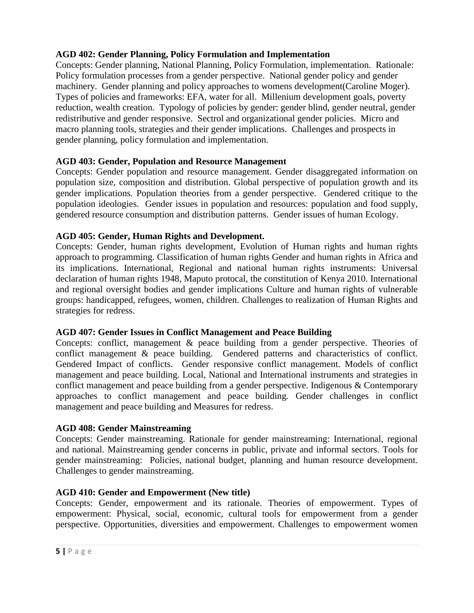# **AGD 402: Gender Planning, Policy Formulation and Implementation**

Concepts: Gender planning, National Planning, Policy Formulation, implementation. Rationale: Policy formulation processes from a gender perspective. National gender policy and gender machinery. Gender planning and policy approaches to womens development(Caroline Moger). Types of policies and frameworks: EFA, water for all. Millenium development goals, poverty reduction, wealth creation. Typology of policies by gender: gender blind, gender neutral, gender redistributive and gender responsive. Sectrol and organizational gender policies. Micro and macro planning tools, strategies and their gender implications. Challenges and prospects in gender planning, policy formulation and implementation.

# **AGD 403: Gender, Population and Resource Management**

Concepts: Gender population and resource management. Gender disaggregated information on population size, composition and distribution. Global perspective of population growth and its gender implications. Population theories from a gender perspective. Gendered critique to the population ideologies. Gender issues in population and resources: population and food supply, gendered resource consumption and distribution patterns. Gender issues of human Ecology.

# **AGD 405: Gender, Human Rights and Development.**

Concepts: Gender, human rights development, Evolution of Human rights and human rights approach to programming. Classification of human rights Gender and human rights in Africa and its implications. International, Regional and national human rights instruments: Universal declaration of human rights 1948, Maputo protocal, the constitution of Kenya 2010. International and regional oversight bodies and gender implications Culture and human rights of vulnerable groups: handicapped, refugees, women, children. Challenges to realization of Human Rights and strategies for redress.

## **AGD 407: Gender Issues in Conflict Management and Peace Building**

Concepts: conflict, management & peace building from a gender perspective. Theories of conflict management & peace building. Gendered patterns and characteristics of conflict. Gendered Impact of conflicts. Gender responsive conflict management. Models of conflict management and peace building. Local, National and International instruments and strategies in conflict management and peace building from a gender perspective. Indigenous & Contemporary approaches to conflict management and peace building. Gender challenges in conflict management and peace building and Measures for redress.

## **AGD 408: Gender Mainstreaming**

Concepts: Gender mainstreaming. Rationale for gender mainstreaming: International, regional and national. Mainstreaming gender concerns in public, private and informal sectors. Tools for gender mainstreaming: Policies, national budget, planning and human resource development. Challenges to gender mainstreaming.

# **AGD 410: Gender and Empowerment (New title)**

Concepts: Gender, empowerment and its rationale. Theories of empowerment. Types of empowerment: Physical, social, economic, cultural tools for empowerment from a gender perspective. Opportunities, diversities and empowerment. Challenges to empowerment women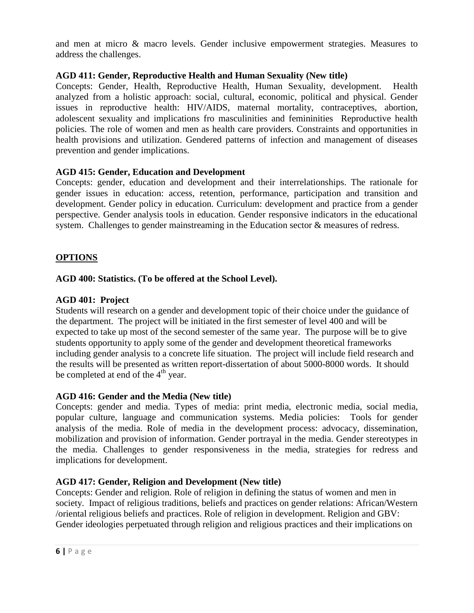and men at micro & macro levels. Gender inclusive empowerment strategies. Measures to address the challenges.

## **AGD 411: Gender, Reproductive Health and Human Sexuality (New title)**

Concepts: Gender, Health, Reproductive Health, Human Sexuality, development. Health analyzed from a holistic approach: social, cultural, economic, political and physical. Gender issues in reproductive health: HIV/AIDS, maternal mortality, contraceptives, abortion, adolescent sexuality and implications fro masculinities and femininities Reproductive health policies. The role of women and men as health care providers. Constraints and opportunities in health provisions and utilization. Gendered patterns of infection and management of diseases prevention and gender implications.

# **AGD 415: Gender, Education and Development**

Concepts: gender, education and development and their interrelationships. The rationale for gender issues in education: access, retention, performance, participation and transition and development. Gender policy in education. Curriculum: development and practice from a gender perspective. Gender analysis tools in education. Gender responsive indicators in the educational system. Challenges to gender mainstreaming in the Education sector  $\&$  measures of redress.

# **OPTIONS**

## **AGD 400: Statistics. (To be offered at the School Level).**

## **AGD 401: Project**

Students will research on a gender and development topic of their choice under the guidance of the department. The project will be initiated in the first semester of level 400 and will be expected to take up most of the second semester of the same year. The purpose will be to give students opportunity to apply some of the gender and development theoretical frameworks including gender analysis to a concrete life situation. The project will include field research and the results will be presented as written report-dissertation of about 5000-8000 words. It should be completed at end of the  $4<sup>th</sup>$  year.

## **AGD 416: Gender and the Media (New title)**

Concepts: gender and media. Types of media: print media, electronic media, social media, popular culture, language and communication systems. Media policies: Tools for gender analysis of the media. Role of media in the development process: advocacy, dissemination, mobilization and provision of information. Gender portrayal in the media. Gender stereotypes in the media. Challenges to gender responsiveness in the media, strategies for redress and implications for development.

## **AGD 417: Gender, Religion and Development (New title)**

Concepts: Gender and religion. Role of religion in defining the status of women and men in society. Impact of religious traditions, beliefs and practices on gender relations: African/Western /oriental religious beliefs and practices. Role of religion in development. Religion and GBV: Gender ideologies perpetuated through religion and religious practices and their implications on